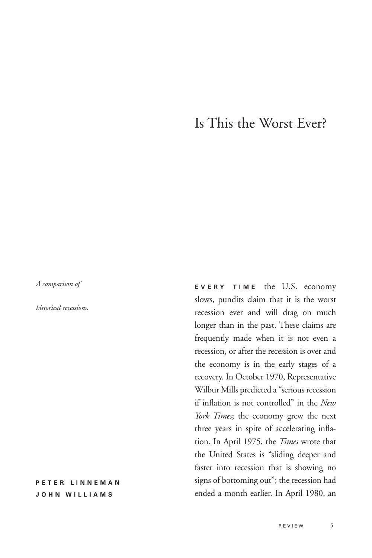# Is This the Worst Ever?

*A comparison of*

*historical recessions.*

### **P E T E R L I N N E M A N J O H N W I L L I A M S**

**E V E R Y T I M E** the U.S. economy slows, pundits claim that it is the worst recession ever and will drag on much longer than in the past. These claims are frequently made when it is not even a recession, or after the recession is over and the economy is in the early stages of a recovery. In October 1970, Representative Wilbur Mills predicted a "serious recession if inflation is not controlled" in the *New York Times*; the economy grew the next three years in spite of accelerating inflation. In April 1975, the *Times* wrote that the United States is "sliding deeper and faster into recession that is showing no signs of bottoming out"; the recession had ended a month earlier. In April 1980, an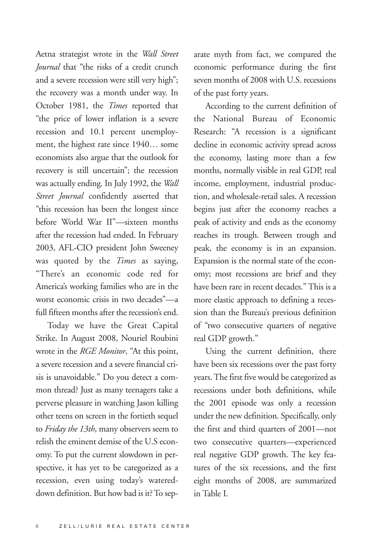Aetna strategist wrote in the *Wall Street Journal* that "the risks of a credit crunch and a severe recession were still very high"; the recovery was a month under way. In October 1981, the *Times* reported that "the price of lower inflation is a severe recession and 10.1 percent unemployment, the highest rate since 1940… some economists also argue that the outlook for recovery is still uncertain"; the recession was actually ending. In July 1992, the *Wall Street Journal* confidently asserted that "this recession has been the longest since before World War II"—sixteen months after the recession had ended. In February 2003, AFL-CIO president John Sweeney was quoted by the *Times* as saying, "There's an economic code red for America's working families who are in the worst economic crisis in two decades"—a full fifteen months after the recession's end.

Today we have the Great Capital Strike. In August 2008, Nouriel Roubini wrote in the *RGE Monitor*, "At this point, a severe recession and a severe financial crisis is unavoidable." Do you detect a common thread? Just as many teenagers take a perverse pleasure in watching Jason killing other teens on screen in the fortieth sequel to *Friday the 13th*, many observers seem to relish the eminent demise of the U.S economy. To put the current slowdown in perspective, it has yet to be categorized as a recession, even using today's watereddown definition. But how bad is it? To separate myth from fact, we compared the economic performance during the first seven months of 2008 with U.S. recessions of the past forty years.

According to the current definition of the National Bureau of Economic Research: "A recession is a significant decline in economic activity spread across the economy, lasting more than a few months, normally visible in real GDP, real income, employment, industrial production, and wholesale-retail sales. A recession begins just after the economy reaches a peak of activity and ends as the economy reaches its trough. Between trough and peak, the economy is in an expansion. Expansion is the normal state of the economy; most recessions are brief and they have been rare in recent decades." This is a more elastic approach to defining a recession than the Bureau's previous definition of "two consecutive quarters of negative real GDP growth."

Using the current definition, there have been six recessions over the past forty years. The first five would be categorized as recessions under both definitions, while the 2001 episode was only a recession under the new definition. Specifically, only the first and third quarters of 2001—not two consecutive quarters—experienced real negative GDP growth. The key features of the six recessions, and the first eight months of 2008, are summarized in Table I.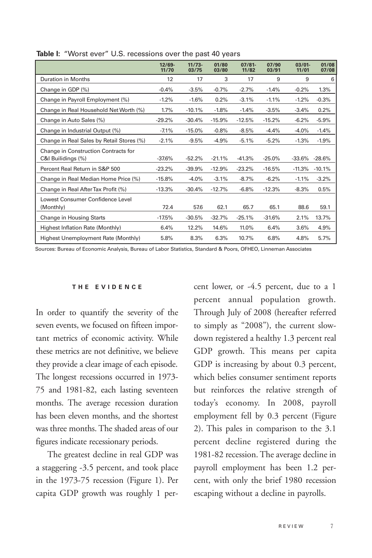|                                                            | $12/69 -$<br>11/70 | $11/73-$<br>03/75 | 01/80<br>03/80 | $07/81 -$<br>11/82 | 07/90<br>03/91 | $03/01 -$<br>11/01 | 01/08<br>07/08 |
|------------------------------------------------------------|--------------------|-------------------|----------------|--------------------|----------------|--------------------|----------------|
| Duration in Months                                         | 12                 | 17                | 3              | 17                 | 9              | 9                  | 6              |
| Change in GDP (%)                                          | $-0.4%$            | $-3.5%$           | $-0.7%$        | $-2.7%$            | $-1.4%$        | $-0.2%$            | 1.3%           |
| Change in Payroll Employment (%)                           | $-1.2%$            | $-1.6%$           | 0.2%           | $-3.1%$            | $-1.1%$        | $-1.2%$            | $-0.3%$        |
| Change in Real Household Net Worth (%)                     | 1.7%               | $-10.1%$          | $-1.8%$        | $-1.4%$            | $-3.5%$        | $-3.4%$            | 0.2%           |
| Change in Auto Sales (%)                                   | $-29.2%$           | $-30.4%$          | $-15.9%$       | $-12.5%$           | $-15.2%$       | $-6.2%$            | $-5.9%$        |
| Change in Industrial Output (%)                            | $-7.1%$            | $-15.0%$          | $-0.8%$        | $-8.5%$            | $-4.4%$        | $-4.0%$            | $-1.4%$        |
| Change in Real Sales by Retail Stores (%)                  | $-2.1%$            | $-9.5%$           | $-4.9%$        | $-5.1%$            | $-5.2\%$       | $-1.3\%$           | $-1.9%$        |
| Change in Construction Contracts for<br>C&I Builidings (%) | $-37.6%$           | $-52.2%$          | $-21.1%$       | $-41.3%$           | $-25.0%$       | $-33.6%$           | $-28.6%$       |
| Percent Real Return in S&P 500                             | $-23.2%$           | $-39.9%$          | $-12.9%$       | $-23.2%$           | $-16.5%$       | $-11.3%$           | $-10.1%$       |
| Change in Real Median Home Price (%)                       | $-15.8%$           | $-4.0%$           | $-3.1%$        | $-8.7%$            | $-6.2%$        | $-1.1%$            | $-3.2%$        |
| Change in Real After Tax Profit (%)                        | $-13.3%$           | $-30.4%$          | $-12.7%$       | $-6.8%$            | $-12.3%$       | $-8.3%$            | 0.5%           |
| Lowest Consumer Confidence Level<br>(Monthly)              | 72.4               | 57.6              | 62.1           | 65.7               | 65.1           | 88.6               | 59.1           |
| Change in Housing Starts                                   | $-17.5%$           | $-30.5%$          | $-32.7%$       | $-25.1%$           | $-31.6%$       | 2.1%               | 13.7%          |
| Highest Inflation Rate (Monthly)                           | 6.4%               | 12.2%             | 14.6%          | 11.0%              | 6.4%           | 3.6%               | 4.9%           |
| Highest Unemployment Rate (Monthly)                        | 5.8%               | 8.3%              | 6.3%           | 10.7%              | 6.8%           | 4.8%               | 5.7%           |

**Table I:** "Worst ever" U.S. recessions over the past 40 years

Sources: Bureau of Economic Analysis, Bureau of Labor Statistics, Standard & Poors, OFHEO, Linneman Associates

#### **T H E E V I D E N C E**

In order to quantify the severity of the seven events, we focused on fifteen important metrics of economic activity. While these metrics are not definitive, we believe they provide a clear image of each episode. The longest recessions occurred in 1973- 75 and 1981-82, each lasting seventeen months. The average recession duration has been eleven months, and the shortest was three months. The shaded areas of our figures indicate recessionary periods.

The greatest decline in real GDP was a staggering -3.5 percent, and took place in the 1973-75 recession (Figure 1). Per capita GDP growth was roughly 1 per-

cent lower, or -4.5 percent, due to a 1 percent annual population growth. Through July of 2008 (hereafter referred to simply as "2008"), the current slowdown registered a healthy 1.3 percent real GDP growth. This means per capita GDP is increasing by about 0.3 percent, which belies consumer sentiment reports but reinforces the relative strength of today's economy. In 2008, payroll employment fell by 0.3 percent (Figure 2). This pales in comparison to the 3.1 percent decline registered during the 1981-82 recession. The average decline in payroll employment has been 1.2 percent, with only the brief 1980 recession escaping without a decline in payrolls.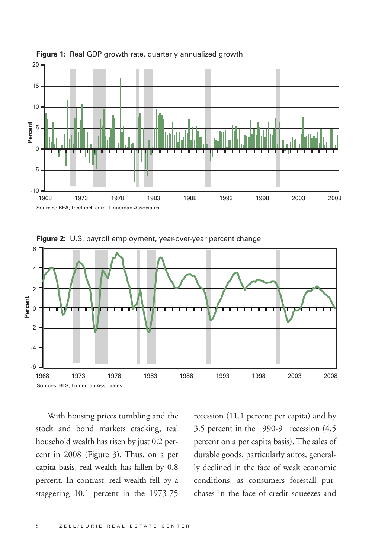

**Figure 1:** Real GDP growth rate, quarterly annualized growth



With housing prices tumbling and the stock and bond markets cracking, real household wealth has risen by just 0.2 percent in 2008 (Figure 3). Thus, on a per capita basis, real wealth has fallen by 0.8 percent. In contrast, real wealth fell by a staggering 10.1 percent in the 1973-75 recession (11.1 percent per capita) and by 3.5 percent in the 1990-91 recession (4.5 percent on a per capita basis). The sales of durable goods, particularly autos, generally declined in the face of weak economic conditions, as consumers forestall purchases in the face of credit squeezes and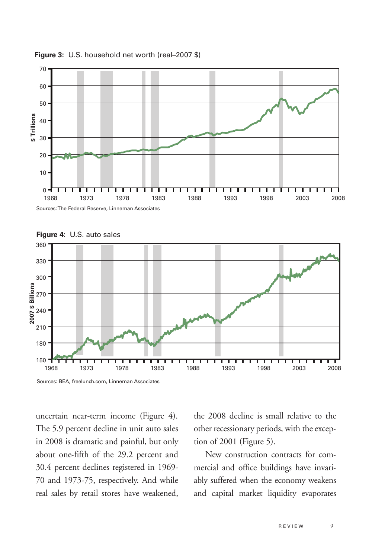

**Figure 3:** U.S. household net worth (real–2007 \$)



**Figure 4:** U.S. auto sales

Sources: BEA, freelunch.com, Linneman Associates

uncertain near-term income (Figure 4). The 5.9 percent decline in unit auto sales in 2008 is dramatic and painful, but only about one-fifth of the 29.2 percent and 30.4 percent declines registered in 1969- 70 and 1973-75, respectively. And while real sales by retail stores have weakened,

the 2008 decline is small relative to the other recessionary periods, with the exception of 2001 (Figure 5).

New construction contracts for commercial and office buildings have invariably suffered when the economy weakens and capital market liquidity evaporates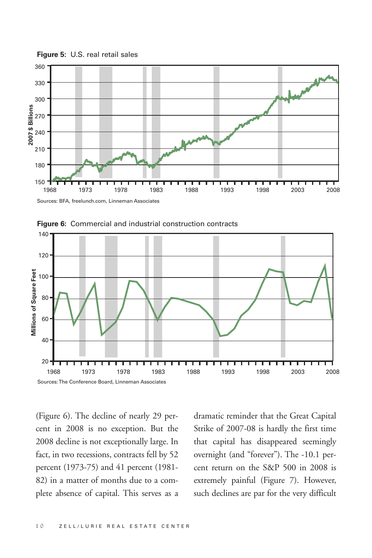



**Figure 6:** Commercial and industrial construction contracts

(Figure 6). The decline of nearly 29 percent in 2008 is no exception. But the 2008 decline is not exceptionally large. In fact, in two recessions, contracts fell by 52 percent (1973-75) and 41 percent (1981- 82) in a matter of months due to a complete absence of capital. This serves as a dramatic reminder that the Great Capital Strike of 2007-08 is hardly the first time that capital has disappeared seemingly overnight (and "forever"). The -10.1 percent return on the S&P 500 in 2008 is extremely painful (Figure 7). However, such declines are par for the very difficult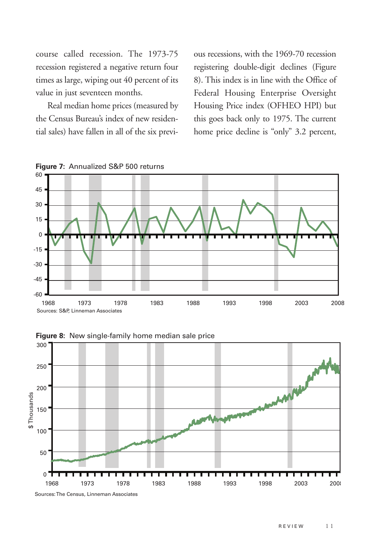course called recession. The 1973-75 recession registered a negative return four times as large, wiping out 40 percent of its value in just seventeen months.

Real median home prices (measured by the Census Bureau's index of new residential sales) have fallen in all of the six previ-

ous recessions, with the 1969-70 recession registering double-digit declines (Figure 8). This index is in line with the Office of Federal Housing Enterprise Oversight Housing Price index (OFHEO HPI) but this goes back only to 1975. The current home price decline is "only" 3.2 percent,





**Figure 8:** New single-family home median sale price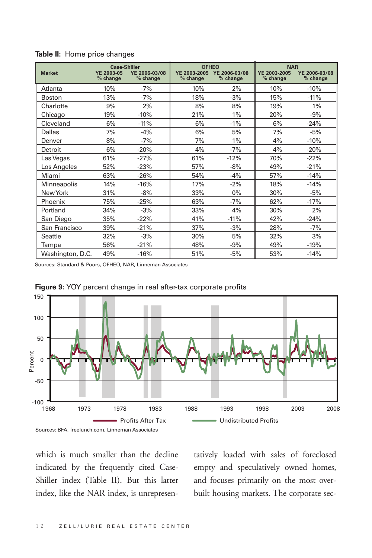| <b>Case-Shiller</b><br><b>Market</b><br>YE 2003-05<br>YE 2006-03/08 |          | <b>OFHEO</b><br>YE 2003-2005 | YE 2006-03/08 | <b>NAR</b><br>YE 2003-2005<br>YE 2006-03/08 |          |          |
|---------------------------------------------------------------------|----------|------------------------------|---------------|---------------------------------------------|----------|----------|
|                                                                     | % change | % change                     | % change      | % change                                    | % change | % change |
| Atlanta                                                             | 10%      | $-7%$                        | 10%           | 2%                                          | 10%      | $-10%$   |
| <b>Boston</b>                                                       | 13%      | $-7%$                        | 18%           | $-3%$                                       | 15%      | $-11%$   |
| Charlotte                                                           | 9%       | 2%                           | 8%            | 8%                                          | 19%      | 1%       |
| Chicago                                                             | 19%      | $-10%$                       | 21%           | 1%                                          | 20%      | $-9%$    |
| Cleveland                                                           | 6%       | $-11%$                       | 6%            | $-1%$                                       | 6%       | $-24%$   |
| Dallas                                                              | 7%       | $-4%$                        | 6%            | 5%                                          | 7%       | $-5%$    |
| Denver                                                              | 8%       | $-7%$                        | 7%            | 1%                                          | 4%       | $-10%$   |
| Detroit                                                             | 6%       | $-20%$                       | 4%            | $-7%$                                       | 4%       | $-20%$   |
| Las Vegas                                                           | 61%      | $-27%$                       | 61%           | $-12%$                                      | 70%      | $-22%$   |
| Los Angeles                                                         | 52%      | $-23%$                       | 57%           | $-8%$                                       | 49%      | $-21%$   |
| Miami                                                               | 63%      | $-26%$                       | 54%           | $-4%$                                       | 57%      | $-14%$   |
| Minneapolis                                                         | 14%      | $-16%$                       | 17%           | $-2%$                                       | 18%      | $-14%$   |
| New York                                                            | 31%      | $-8%$                        | 33%           | $0\%$                                       | 30%      | $-5%$    |
| Phoenix                                                             | 75%      | $-25%$                       | 63%           | $-7%$                                       | 62%      | $-17%$   |
| Portland                                                            | 34%      | $-3%$                        | 33%           | 4%                                          | 30%      | 2%       |
| San Diego                                                           | 35%      | $-22%$                       | 41%           | $-11%$                                      | 42%      | $-24%$   |
| San Francisco                                                       | 39%      | $-21%$                       | 37%           | $-3%$                                       | 28%      | $-7%$    |
| Seattle                                                             | 32%      | $-3%$                        | 30%           | 5%                                          | 32%      | 3%       |
| Tampa                                                               | 56%      | $-21%$                       | 48%           | $-9%$                                       | 49%      | $-19%$   |
| Washington, D.C.                                                    | 49%      | $-16%$                       | 51%           | $-5%$                                       | 53%      | $-14%$   |

#### **Table II:** Home price changes

Sources: Standard & Poors, OFHEO, NAR, Linneman Associates



**Figure 9:** YOY percent change in real after-tax corporate profits

which is much smaller than the decline indicated by the frequently cited Case-Shiller index (Table II). But this latter index, like the NAR index, is unrepresentatively loaded with sales of foreclosed empty and speculatively owned homes, and focuses primarily on the most overbuilt housing markets. The corporate sec-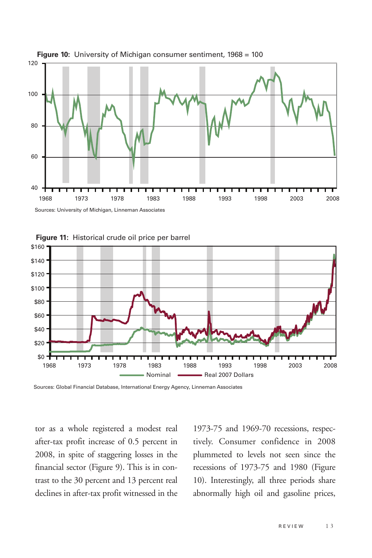





**Figure 11:** Historical crude oil price per barrel

Sources: Global Financial Database, International Energy Agency, Linneman Associates

tor as a whole registered a modest real after-tax profit increase of 0.5 percent in 2008, in spite of staggering losses in the financial sector (Figure 9). This is in contrast to the 30 percent and 13 percent real declines in after-tax profit witnessed in the

1973-75 and 1969-70 recessions, respectively. Consumer confidence in 2008 plummeted to levels not seen since the recessions of 1973-75 and 1980 (Figure 10). Interestingly, all three periods share abnormally high oil and gasoline prices,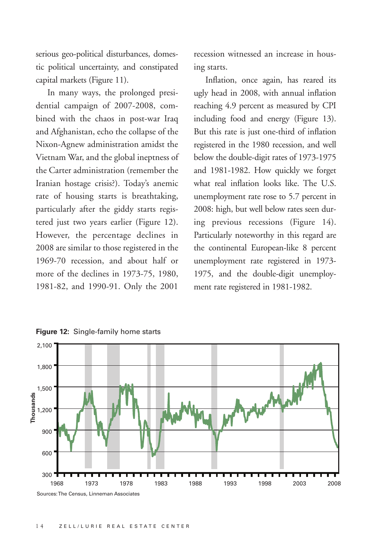serious geo-political disturbances, domestic political uncertainty, and constipated capital markets (Figure 11).

In many ways, the prolonged presidential campaign of 2007-2008, combined with the chaos in post-war Iraq and Afghanistan, echo the collapse of the Nixon-Agnew administration amidst the Vietnam War, and the global ineptness of the Carter administration (remember the Iranian hostage crisis?). Today's anemic rate of housing starts is breathtaking, particularly after the giddy starts registered just two years earlier (Figure 12). However, the percentage declines in 2008 are similar to those registered in the 1969-70 recession, and about half or more of the declines in 1973-75, 1980, 1981-82, and 1990-91. Only the 2001

recession witnessed an increase in housing starts.

Inflation, once again, has reared its ugly head in 2008, with annual inflation reaching 4.9 percent as measured by CPI including food and energy (Figure 13). But this rate is just one-third of inflation registered in the 1980 recession, and well below the double-digit rates of 1973-1975 and 1981-1982. How quickly we forget what real inflation looks like. The U.S. unemployment rate rose to 5.7 percent in 2008: high, but well below rates seen during previous recessions (Figure 14). Particularly noteworthy in this regard are the continental European-like 8 percent unemployment rate registered in 1973- 1975, and the double-digit unemployment rate registered in 1981-1982.



**Figure 12:** Single-family home starts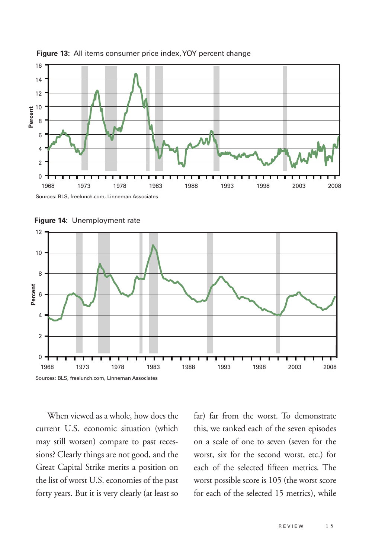

Figure 13: All items consumer price index, YOY percent change



**Figure 14:** Unemployment rate

When viewed as a whole, how does the current U.S. economic situation (which may still worsen) compare to past recessions? Clearly things are not good, and the Great Capital Strike merits a position on the list of worst U.S. economies of the past forty years. But it is very clearly (at least so

far) far from the worst. To demonstrate this, we ranked each of the seven episodes on a scale of one to seven (seven for the worst, six for the second worst, etc.) for each of the selected fifteen metrics. The worst possible score is 105 (the worst score for each of the selected 15 metrics), while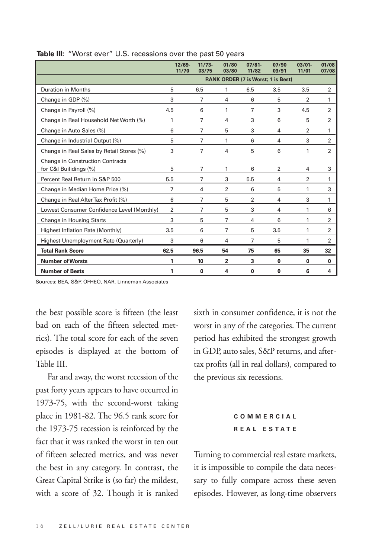|                                                            |                | $12/69 -$<br>$11/73-$<br>11/70<br>03/75 | 01/80<br>03/80 | $07/81 -$<br>11/82                 | 07/90<br>03/91 | $03/01 -$<br>11/01 | 01/08<br>07/08 |
|------------------------------------------------------------|----------------|-----------------------------------------|----------------|------------------------------------|----------------|--------------------|----------------|
|                                                            |                |                                         |                | RANK ORDER (7 is Worst; 1 is Best) |                |                    |                |
| <b>Duration in Months</b>                                  | 5              | 6.5                                     | 1              | 6.5                                | 3.5            | 3.5                | $\overline{2}$ |
| Change in GDP (%)                                          | 3              | 7                                       | 4              | 6                                  | 5              | $\overline{2}$     | 1              |
| Change in Payroll (%)                                      | 4.5            | 6                                       | 1              | 7                                  | 3              | 4.5                | $\overline{2}$ |
| Change in Real Household Net Worth (%)                     | 1              | 7                                       | 4              | 3                                  | 6              | 5                  | $\overline{2}$ |
| Change in Auto Sales (%)                                   | 6              | $\overline{7}$                          | 5              | 3                                  | 4              | $\overline{2}$     | 1              |
| Change in Industrial Output (%)                            | 5              | 7                                       | 1              | 6                                  | 4              | 3                  | $\overline{2}$ |
| Change in Real Sales by Retail Stores (%)                  | 3              | $\overline{7}$                          | 4              | 5                                  | 6              | 1                  | $\overline{2}$ |
| Change in Construction Contracts<br>for C&I Builidings (%) | 5              | 7                                       | 1              | 6                                  | 2              | 4                  | 3              |
| Percent Real Return in S&P 500                             | 5.5            | 7                                       | 3              | 5.5                                | 4              | 2                  | 1              |
| Change in Median Home Price (%)                            | 7              | 4                                       | $\overline{2}$ | 6                                  | 5              | 1                  | 3              |
| Change in Real After Tax Profit (%)                        | 6              | 7                                       | 5              | $\overline{2}$                     | 4              | 3                  | 1              |
| Lowest Consumer Confidence Level (Monthly)                 | $\overline{2}$ | 7                                       | 5              | 3                                  | 4              | 1                  | 6              |
| Change in Housing Starts                                   | 3              | 5                                       | 7              | 4                                  | 6              | 1                  | $\overline{2}$ |
| Highest Inflation Rate (Monthly)                           | 3.5            | 6                                       | 7              | 5                                  | 3.5            | 1                  | $\overline{2}$ |
| Highest Unemployment Rate (Quarterly)                      | 3              | 6                                       | 4              | 7                                  | 5              | 1                  | $\overline{2}$ |
| <b>Total Rank Score</b>                                    | 62.5           | 96.5                                    | 54             | 75                                 | 65             | 35                 | 32             |
| <b>Number of Worsts</b>                                    | 1              | 10                                      | $\overline{2}$ | 3                                  | $\bf{0}$       | $\mathbf 0$        | 0              |
| <b>Number of Bests</b>                                     | 1              | 0                                       | 4              | $\mathbf 0$                        | 0              | 6                  | 4              |

**Table III:** "Worst ever" U.S. recessions over the past 50 years

Sources: BEA, S&P, OFHEO, NAR, Linneman Associates

the best possible score is fifteen (the least bad on each of the fifteen selected metrics). The total score for each of the seven episodes is displayed at the bottom of Table III.

Far and away, the worst recession of the past forty years appears to have occurred in 1973-75, with the second-worst taking place in 1981-82. The 96.5 rank score for the 1973-75 recession is reinforced by the fact that it was ranked the worst in ten out of fifteen selected metrics, and was never the best in any category. In contrast, the Great Capital Strike is (so far) the mildest, with a score of 32. Though it is ranked

sixth in consumer confidence, it is not the worst in any of the categories. The current period has exhibited the strongest growth in GDP, auto sales, S&P returns, and aftertax profits (all in real dollars), compared to the previous six recessions.

## **C O M M E R C I A L R E A L E S T A T E**

Turning to commercial real estate markets, it is impossible to compile the data necessary to fully compare across these seven episodes. However, as long-time observers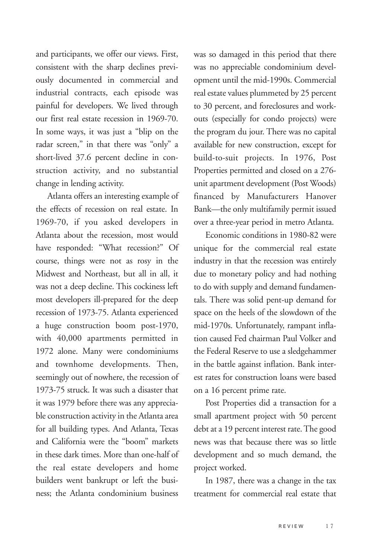and participants, we offer our views. First, consistent with the sharp declines previously documented in commercial and industrial contracts, each episode was painful for developers. We lived through our first real estate recession in 1969-70. In some ways, it was just a "blip on the radar screen," in that there was "only" a short-lived 37.6 percent decline in construction activity, and no substantial change in lending activity.

Atlanta offers an interesting example of the effects of recession on real estate. In 1969-70, if you asked developers in Atlanta about the recession, most would have responded: "What recession?" Of course, things were not as rosy in the Midwest and Northeast, but all in all, it was not a deep decline. This cockiness left most developers ill-prepared for the deep recession of 1973-75. Atlanta experienced a huge construction boom post-1970, with 40,000 apartments permitted in 1972 alone. Many were condominiums and townhome developments. Then, seemingly out of nowhere, the recession of 1973-75 struck. It was such a disaster that it was 1979 before there was any appreciable construction activity in the Atlanta area for all building types. And Atlanta, Texas and California were the "boom" markets in these dark times. More than one-half of the real estate developers and home builders went bankrupt or left the business; the Atlanta condominium business

was so damaged in this period that there was no appreciable condominium development until the mid-1990s. Commercial real estate values plummeted by 25 percent to 30 percent, and foreclosures and workouts (especially for condo projects) were the program du jour. There was no capital available for new construction, except for build-to-suit projects. In 1976, Post Properties permitted and closed on a 276 unit apartment development (Post Woods) financed by Manufacturers Hanover Bank—the only multifamily permit issued over a three-year period in metro Atlanta.

Economic conditions in 1980-82 were unique for the commercial real estate industry in that the recession was entirely due to monetary policy and had nothing to do with supply and demand fundamentals. There was solid pent-up demand for space on the heels of the slowdown of the mid-1970s. Unfortunately, rampant inflation caused Fed chairman Paul Volker and the Federal Reserve to use a sledgehammer in the battle against inflation. Bank interest rates for construction loans were based on a 16 percent prime rate.

Post Properties did a transaction for a small apartment project with 50 percent debt at a 19 percent interest rate. The good news was that because there was so little development and so much demand, the project worked.

In 1987, there was a change in the tax treatment for commercial real estate that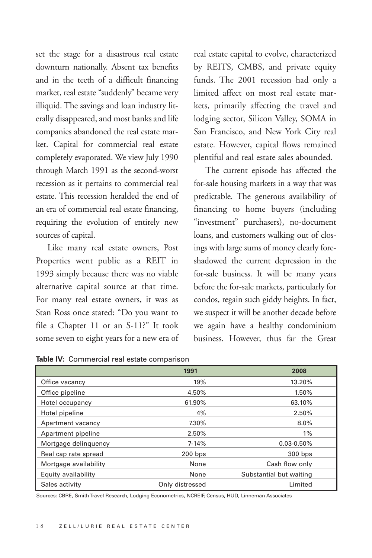set the stage for a disastrous real estate downturn nationally. Absent tax benefits and in the teeth of a difficult financing market, real estate "suddenly" became very illiquid. The savings and loan industry literally disappeared, and most banks and life companies abandoned the real estate market. Capital for commercial real estate completely evaporated. We view July 1990 through March 1991 as the second-worst recession as it pertains to commercial real estate. This recession heralded the end of an era of commercial real estate financing, requiring the evolution of entirely new sources of capital.

Like many real estate owners, Post Properties went public as a REIT in 1993 simply because there was no viable alternative capital source at that time. For many real estate owners, it was as Stan Ross once stated: "Do you want to file a Chapter 11 or an S-11?" It took some seven to eight years for a new era of

real estate capital to evolve, characterized by REITS, CMBS, and private equity funds. The 2001 recession had only a limited affect on most real estate markets, primarily affecting the travel and lodging sector, Silicon Valley, SOMA in San Francisco, and New York City real estate. However, capital flows remained plentiful and real estate sales abounded.

The current episode has affected the for-sale housing markets in a way that was predictable. The generous availability of financing to home buyers (including "investment" purchasers), no-document loans, and customers walking out of closings with large sums of money clearly foreshadowed the current depression in the for-sale business. It will be many years before the for-sale markets, particularly for condos, regain such giddy heights. In fact, we suspect it will be another decade before we again have a healthy condominium business. However, thus far the Great

|                       | 1991            | 2008                    |
|-----------------------|-----------------|-------------------------|
| Office vacancy        | 19%             | 13.20%                  |
| Office pipeline       | 4.50%           | 1.50%                   |
| Hotel occupancy       | 61.90%          | 63.10%                  |
| Hotel pipeline        | 4%              | 2.50%                   |
| Apartment vacancy     | 7.30%           | 8.0%                    |
| Apartment pipeline    | 2.50%           | 1%                      |
| Mortgage delinquency  | $7 - 14%$       | $0.03 - 0.50\%$         |
| Real cap rate spread  | $200$ bps       | 300 bps                 |
| Mortgage availability | None            | Cash flow only          |
| Equity availability   | None            | Substantial but waiting |
| Sales activity        | Only distressed | Limited                 |

**Table IV:** Commercial real estate comparison

Sources: CBRE, SmithTravel Research, Lodging Econometrics, NCREIF, Census, HUD, Linneman Associates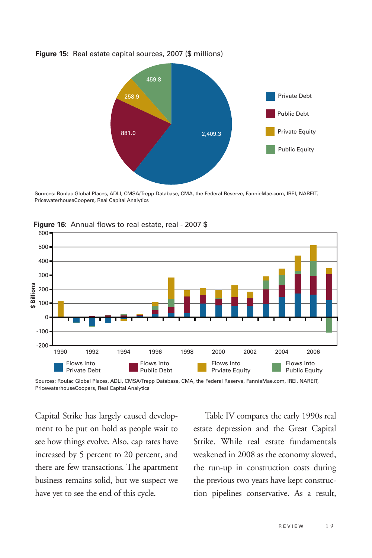



Sources: Roulac Global Places, ADLI, CMSA/Trepp Database, CMA, the Federal Reserve, FannieMae.com, IREI, NAREIT, PricewaterhouseCoopers, Real Capital Analytics



**Figure 16:** Annual flows to real estate, real - 2007 \$

Sources: Roulac Global Places, ADLI, CMSA/Trepp Database, CMA, the Federal Reserve, FannieMae.com, IREI, NAREIT, PricewaterhouseCoopers, Real Capital Analytics

Capital Strike has largely caused development to be put on hold as people wait to see how things evolve. Also, cap rates have increased by 5 percent to 20 percent, and there are few transactions. The apartment business remains solid, but we suspect we have yet to see the end of this cycle.

Table IV compares the early 1990s real estate depression and the Great Capital Strike. While real estate fundamentals weakened in 2008 as the economy slowed, the run-up in construction costs during the previous two years have kept construction pipelines conservative. As a result,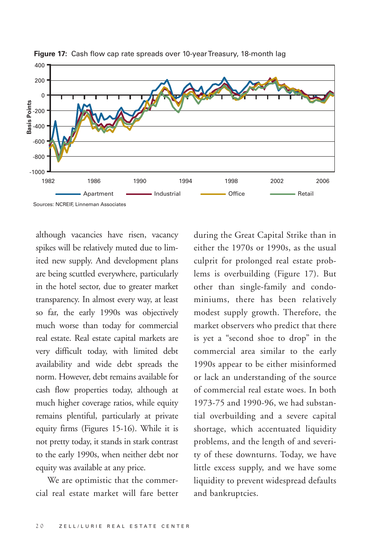

**Figure 17:** Cash flow cap rate spreads over 10-year Treasury, 18-month lag

although vacancies have risen, vacancy spikes will be relatively muted due to limited new supply. And development plans are being scuttled everywhere, particularly in the hotel sector, due to greater market transparency. In almost every way, at least so far, the early 1990s was objectively much worse than today for commercial real estate. Real estate capital markets are very difficult today, with limited debt availability and wide debt spreads the norm. However, debt remains available for cash flow properties today, although at much higher coverage ratios, while equity remains plentiful, particularly at private equity firms (Figures 15-16). While it is not pretty today, it stands in stark contrast to the early 1990s, when neither debt nor equity was available at any price.

We are optimistic that the commercial real estate market will fare better during the Great Capital Strike than in either the 1970s or 1990s, as the usual culprit for prolonged real estate problems is overbuilding (Figure 17). But other than single-family and condominiums, there has been relatively modest supply growth. Therefore, the market observers who predict that there is yet a "second shoe to drop" in the commercial area similar to the early 1990s appear to be either misinformed or lack an understanding of the source of commercial real estate woes. In both 1973-75 and 1990-96, we had substantial overbuilding and a severe capital shortage, which accentuated liquidity problems, and the length of and severity of these downturns. Today, we have little excess supply, and we have some liquidity to prevent widespread defaults and bankruptcies.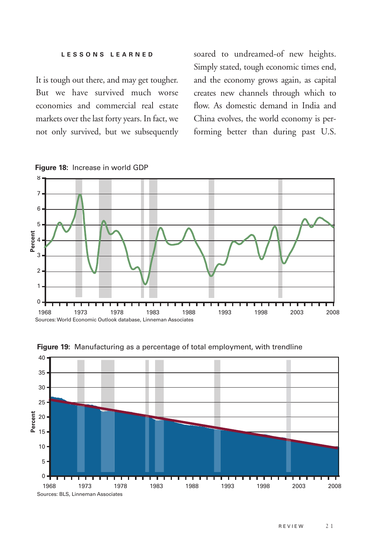#### **L E S S O N S L E A R N E D**

It is tough out there, and may get tougher. But we have survived much worse economies and commercial real estate markets over the last forty years. In fact, we not only survived, but we subsequently soared to undreamed-of new heights. Simply stated, tough economic times end, and the economy grows again, as capital creates new channels through which to flow. As domestic demand in India and China evolves, the world economy is performing better than during past U.S.



**Figure 18:** Increase in world GDP



**Figure 19:** Manufacturing as a percentage of total employment, with trendline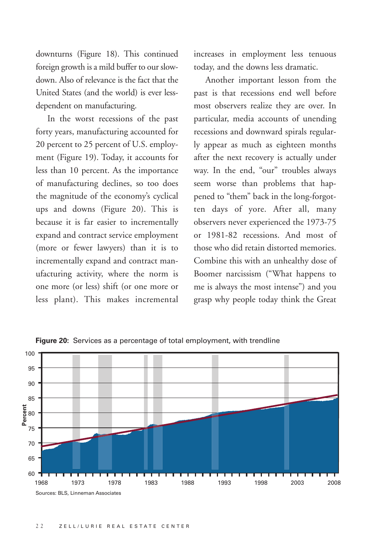downturns (Figure 18). This continued foreign growth is a mild buffer to our slowdown. Also of relevance is the fact that the United States (and the world) is ever lessdependent on manufacturing.

In the worst recessions of the past forty years, manufacturing accounted for 20 percent to 25 percent of U.S. employment (Figure 19). Today, it accounts for less than 10 percent. As the importance of manufacturing declines, so too does the magnitude of the economy's cyclical ups and downs (Figure 20). This is because it is far easier to incrementally expand and contract service employment (more or fewer lawyers) than it is to incrementally expand and contract manufacturing activity, where the norm is one more (or less) shift (or one more or less plant). This makes incremental

increases in employment less tenuous today, and the downs less dramatic.

Another important lesson from the past is that recessions end well before most observers realize they are over. In particular, media accounts of unending recessions and downward spirals regularly appear as much as eighteen months after the next recovery is actually under way. In the end, "our" troubles always seem worse than problems that happened to "them" back in the long-forgotten days of yore. After all, many observers never experienced the 1973-75 or 1981-82 recessions. And most of those who did retain distorted memories. Combine this with an unhealthy dose of Boomer narcissism ("What happens to me is always the most intense") and you grasp why people today think the Great



**Figure 20:** Services as a percentage of total employment, with trendline